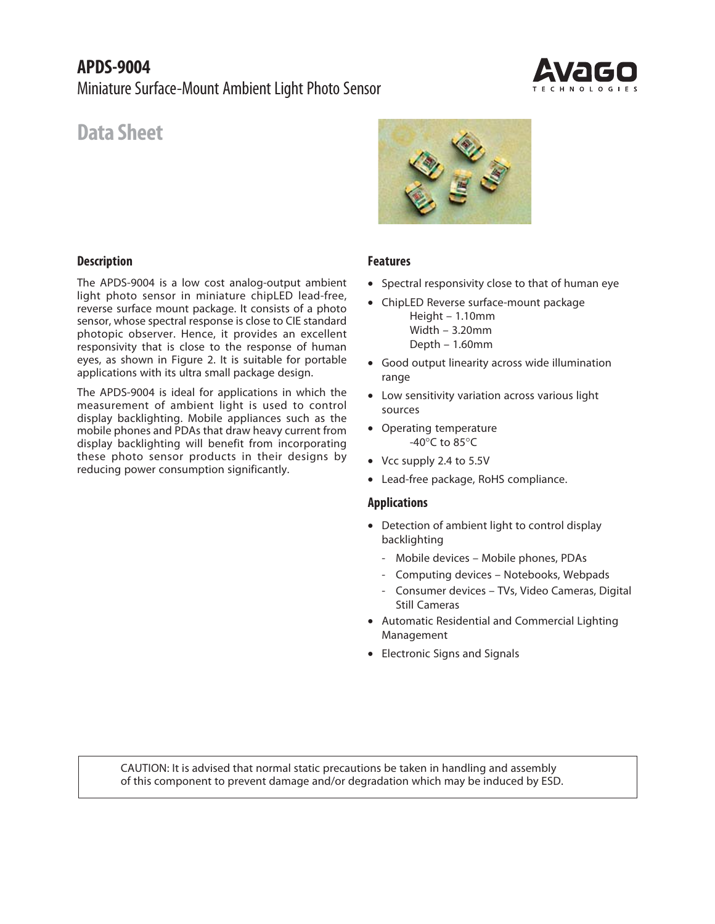# **APDS-9004** Miniature Surface-Mount Ambient Light Photo Sensor



# **Data Sheet**

# **Description**

The APDS-9004 is a low cost analog-output ambient light photo sensor in miniature chipLED lead-free, reverse surface mount package. It consists of a photo sensor, whose spectral response is close to CIE standard photopic observer. Hence, it provides an excellent responsivity that is close to the response of human eyes, as shown in Figure 2. It is suitable for portable applications with its ultra small package design.

The APDS-9004 is ideal for applications in which the measurement of ambient light is used to control display backlighting. Mobile appliances such as the mobile phones and PDAs that draw heavy current from display backlighting will benefit from incorporating these photo sensor products in their designs by reducing power consumption significantly.



#### **Features**

- Spectral responsivity close to that of human eye
- ChipLED Reverse surface-mount package Height – 1.10mm Width – 3.20mm Depth – 1.60mm
- Good output linearity across wide illumination range
- Low sensitivity variation across various light sources
- Operating temperature -40°C to 85°C
- Vcc supply 2.4 to 5.5V
- Lead-free package, RoHS compliance.

#### **Applications**

- Detection of ambient light to control display backlighting
	- Mobile devices Mobile phones, PDAs
	- Computing devices Notebooks, Webpads
	- Consumer devices TVs, Video Cameras, Digital Still Cameras
- Automatic Residential and Commercial Lighting Management
- Electronic Signs and Signals

CAUTION: It is advised that normal static precautions be taken in handling and assembly of this component to prevent damage and/or degradation which may be induced by ESD.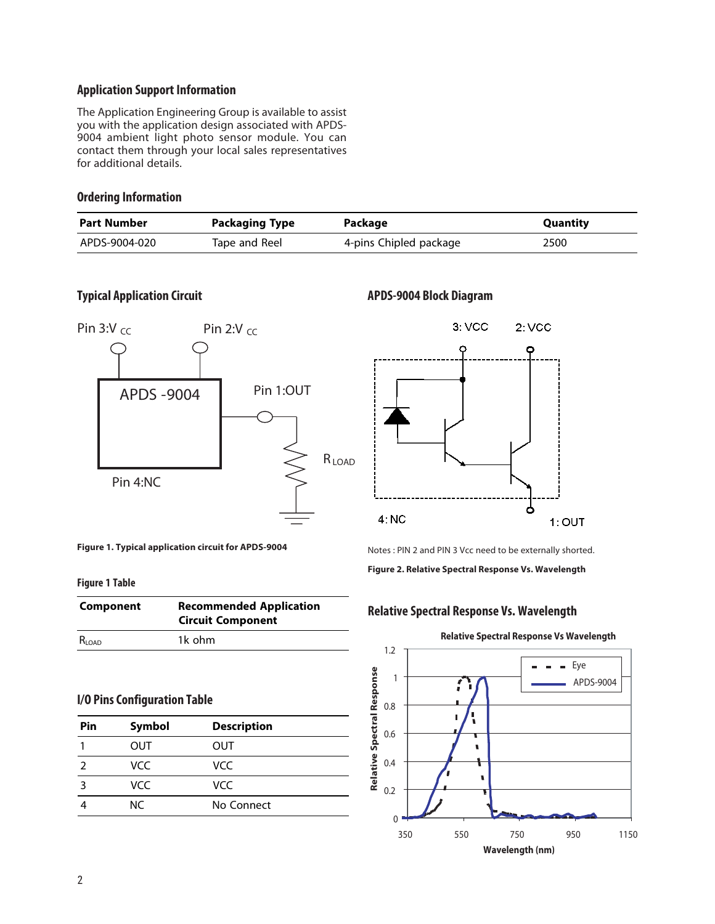# **Application Support Information**

The Application Engineering Group is available to assist you with the application design associated with APDS-9004 ambient light photo sensor module. You can contact them through your local sales representatives for additional details.

#### **Ordering Information**

| <b>Part Number</b> | Packaging Type | Package                | Quantity |
|--------------------|----------------|------------------------|----------|
| APDS-9004-020      | Tape and Reel  | 4-pins Chipled package | 2500     |

# **Typical Application Circuit APDS-9004 Block Diagram**



**Figure 1. Typical application circuit for APDS-9004**

#### **Figure 1 Table**

| Component  | <b>Recommended Application</b><br><b>Circuit Component</b> |
|------------|------------------------------------------------------------|
| $R_{LOAD}$ | 1k ohm                                                     |

# **I/O Pins Configuration Table**

| Pin | Symbol | <b>Description</b> |  |
|-----|--------|--------------------|--|
|     | OUT    | OUT                |  |
|     | VCC.   | VCC.               |  |
|     | VCC.   | VCC.               |  |
|     | NC.    | No Connect         |  |



Notes : PIN 2 and PIN 3 Vcc need to be externally shorted.

**Figure 2. Relative Spectral Response Vs. Wavelength**

# **Relative Spectral Response Vs. Wavelength**



# **Relative Spectral Response Vs Wavelength**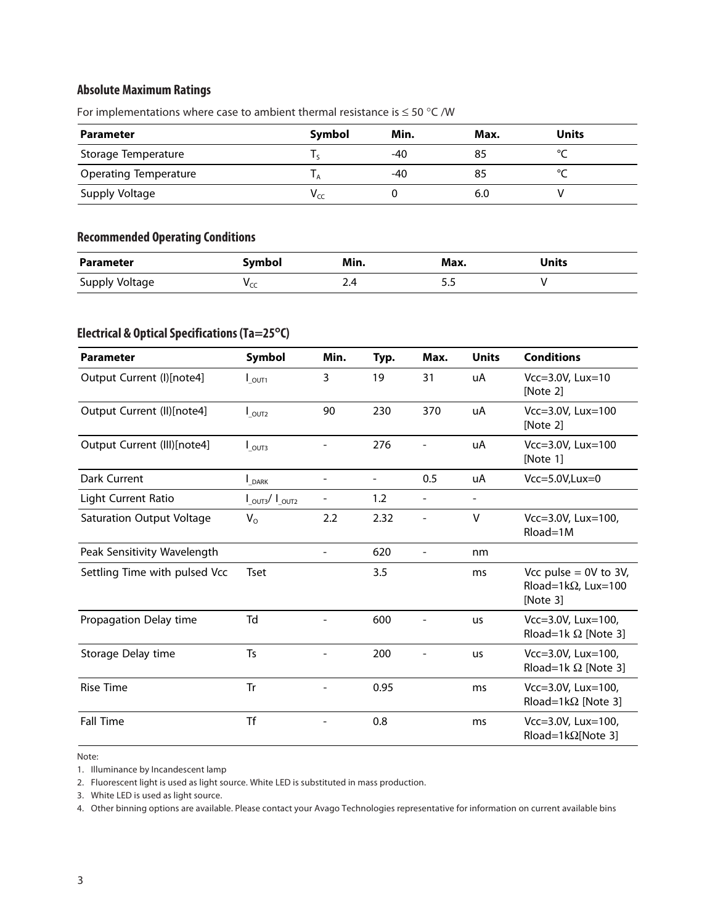# **Absolute Maximum Ratings**

| <b>Parameter</b>             | Symbol | Min.  | Max. | <b>Units</b> |
|------------------------------|--------|-------|------|--------------|
| Storage Temperature          |        | $-40$ | 85   | $\sim$       |
| <b>Operating Temperature</b> |        | -40   | 85   |              |
| Supply Voltage               | Vcc    |       | 6.0  |              |

For implementations where case to ambient thermal resistance is  $\leq$  50 °C /W

# **Recommended Operating Conditions**

| <b>Parameter</b> | Symbol          | Min. | Max. | Units |
|------------------|-----------------|------|------|-------|
| Supply Voltage   | $v_{\text{CC}}$ | 2.4  |      |       |

# **Electrical & Optical Specifications (Ta=25**°**C)**

| <b>Parameter</b>                 | Symbol                            | Min.           | Typ.                     | Max.                     | <b>Units</b>   | <b>Conditions</b>                                                  |
|----------------------------------|-----------------------------------|----------------|--------------------------|--------------------------|----------------|--------------------------------------------------------------------|
| Output Current (I)[note4]        | $I_{\text{OUT1}}$                 | 3              | 19                       | 31                       | uA             | $Vcc=3.0V$ , Lux=10<br>[Note 2]                                    |
| Output Current (II)[note4]       | $I_{\text{OUT2}}$                 | 90             | 230                      | 370                      | uA             | Vcc=3.0V, Lux=100<br>[Note 2]                                      |
| Output Current (III)[note4]      | $I_{\text{OUT3}}$                 |                | 276                      |                          | uA             | Vcc=3.0V, Lux=100<br>[Note 1]                                      |
| Dark Current                     | $\mathsf{I}_{\mathsf{DARK}}$      | $\blacksquare$ | $\overline{\phantom{0}}$ | 0.5                      | uA             | $Vcc=5.0V, Lux=0$                                                  |
| Light Current Ratio              | $I_{\text{OUT3}}/I_{\text{OUT2}}$ |                | 1.2                      | $\overline{\phantom{a}}$ | $\blacksquare$ |                                                                    |
| <b>Saturation Output Voltage</b> | $V_{\rm O}$                       | 2.2            | 2.32                     | $\overline{\phantom{a}}$ | v              | Vcc=3.0V, Lux=100,<br>$Rload=1M$                                   |
| Peak Sensitivity Wavelength      |                                   |                | 620                      | $\overline{\phantom{a}}$ | nm             |                                                                    |
| Settling Time with pulsed Vcc    | <b>Tset</b>                       |                | 3.5                      |                          | ms             | Vcc pulse $= 0V$ to 3V,<br>Rload=1k $\Omega$ , Lux=100<br>[Note 3] |
| Propagation Delay time           | Td                                |                | 600                      |                          | <b>us</b>      | Vcc=3.0V, Lux=100,<br>Rload=1k $\Omega$ [Note 3]                   |
| Storage Delay time               | Ts                                |                | 200                      |                          | us             | Vcc=3.0V, Lux=100,<br>Rload=1k $\Omega$ [Note 3]                   |
| <b>Rise Time</b>                 | <b>Tr</b>                         |                | 0.95                     |                          | ms             | Vcc=3.0V, Lux=100,<br>Rload=1k $\Omega$ [Note 3]                   |
| <b>Fall Time</b>                 | <b>Tf</b>                         |                | 0.8                      |                          | ms             | $Vcc = 3.0V$ , Lux=100,<br>Rload=1k $\Omega$ [Note 3]              |

Note:

1. Illuminance by Incandescent lamp

2. Fluorescent light is used as light source. White LED is substituted in mass production.

3. White LED is used as light source.

4. Other binning options are available. Please contact your Avago Technologies representative for information on current available bins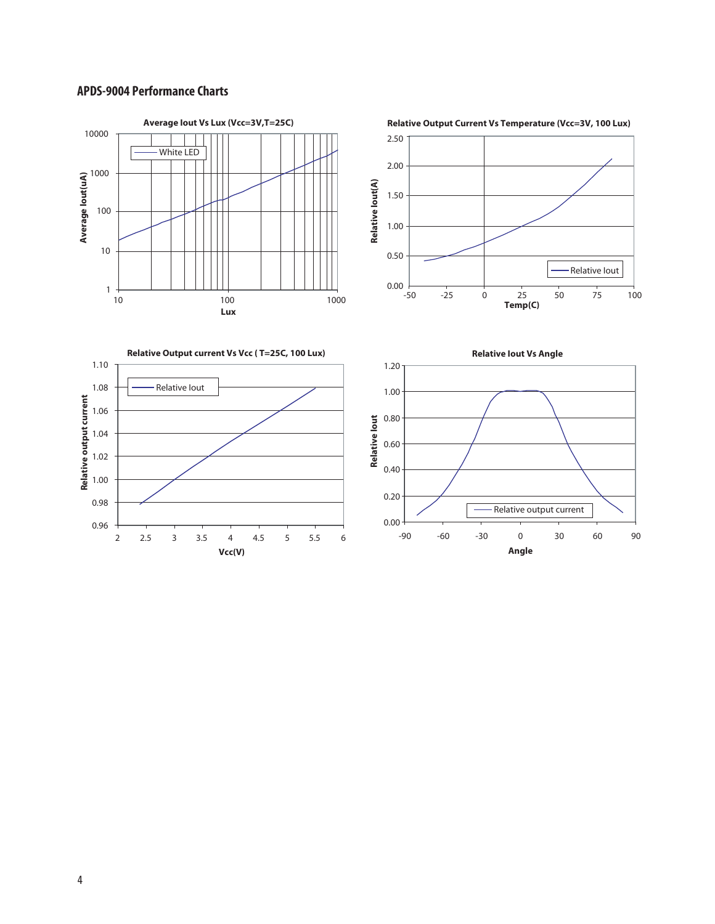# **APDS-9004 Performance Charts**

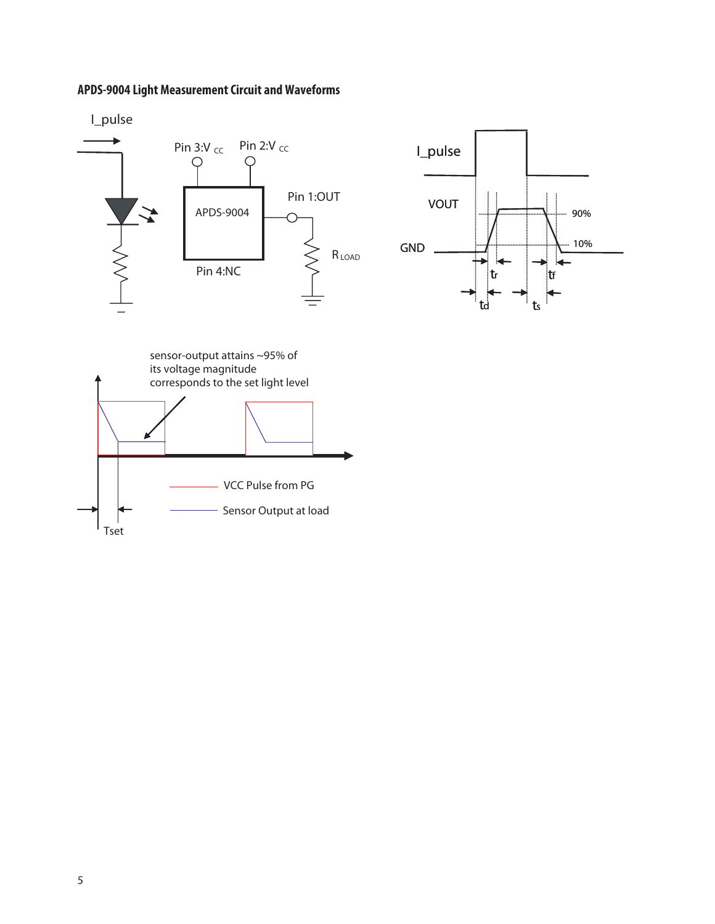# **APDS-9004 Light Measurement Circuit and Waveforms**



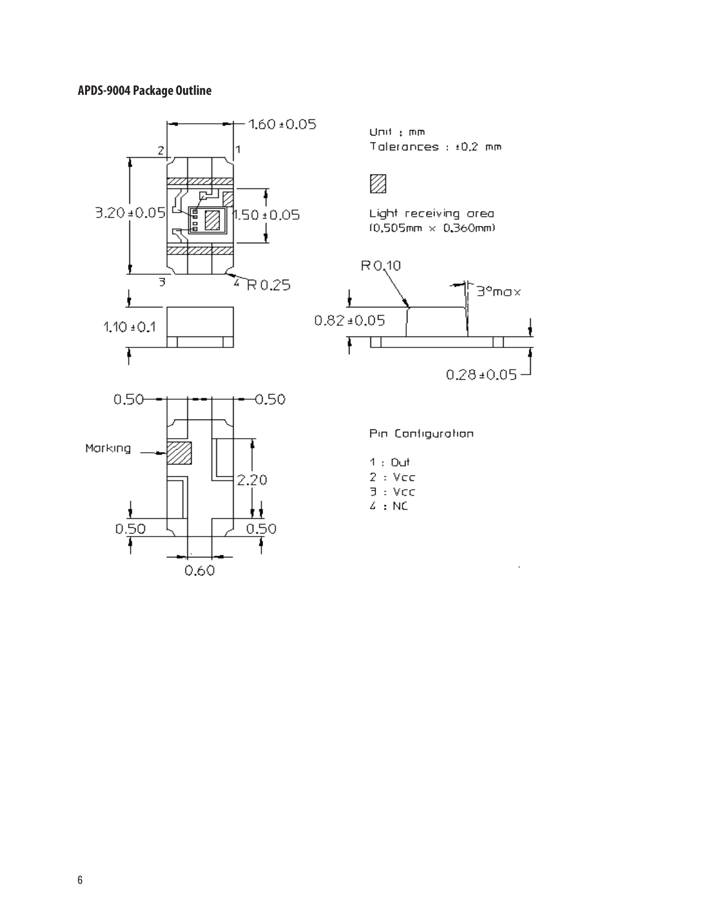# **APDS-9004 Package Outline**

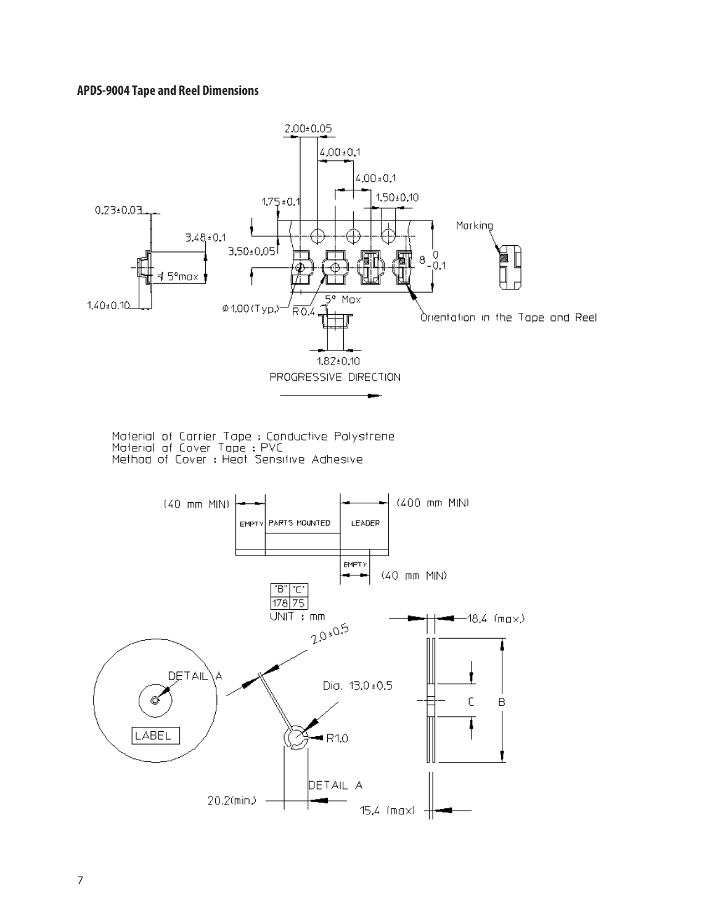# **APDS-9004 Tape and Reel Dimensions**

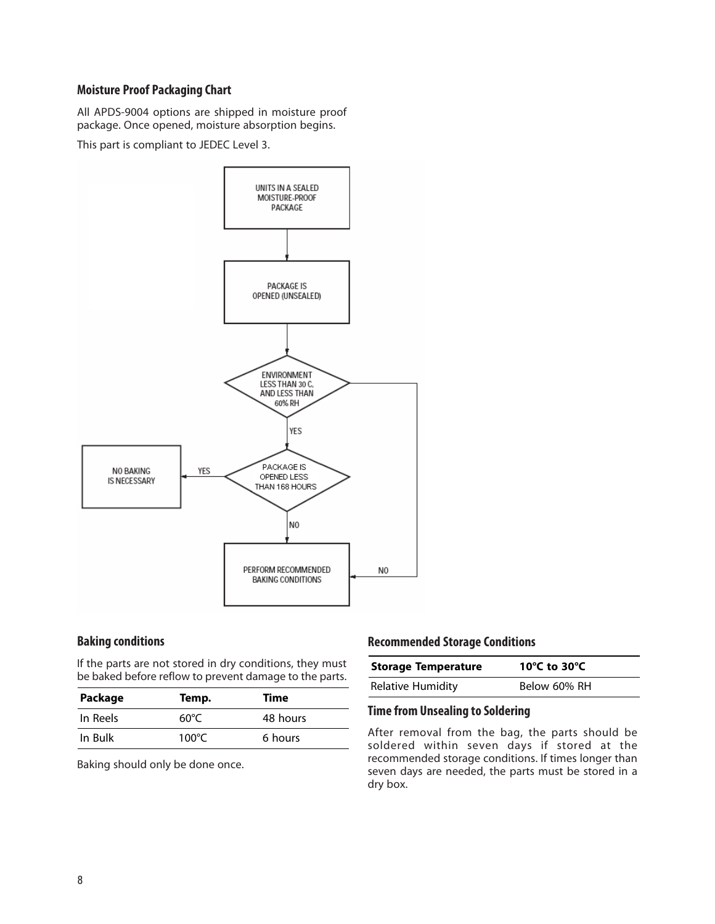# **Moisture Proof Packaging Chart**

All APDS-9004 options are shipped in moisture proof package. Once opened, moisture absorption begins.

This part is compliant to JEDEC Level 3.



#### **Baking conditions**

If the parts are not stored in dry conditions, they must be baked before reflow to prevent damage to the parts.

| Package  | Temp. | Time     |
|----------|-------|----------|
| In Reels | 60°C  | 48 hours |
| In Bulk  | 100°C | 6 hours  |

Baking should only be done once.

# **Recommended Storage Conditions**

| <b>Storage Temperature</b> | 10°C to 30°C |
|----------------------------|--------------|
| <b>Relative Humidity</b>   | Below 60% RH |

#### **Time from Unsealing to Soldering**

After removal from the bag, the parts should be soldered within seven days if stored at the recommended storage conditions. If times longer than seven days are needed, the parts must be stored in a dry box.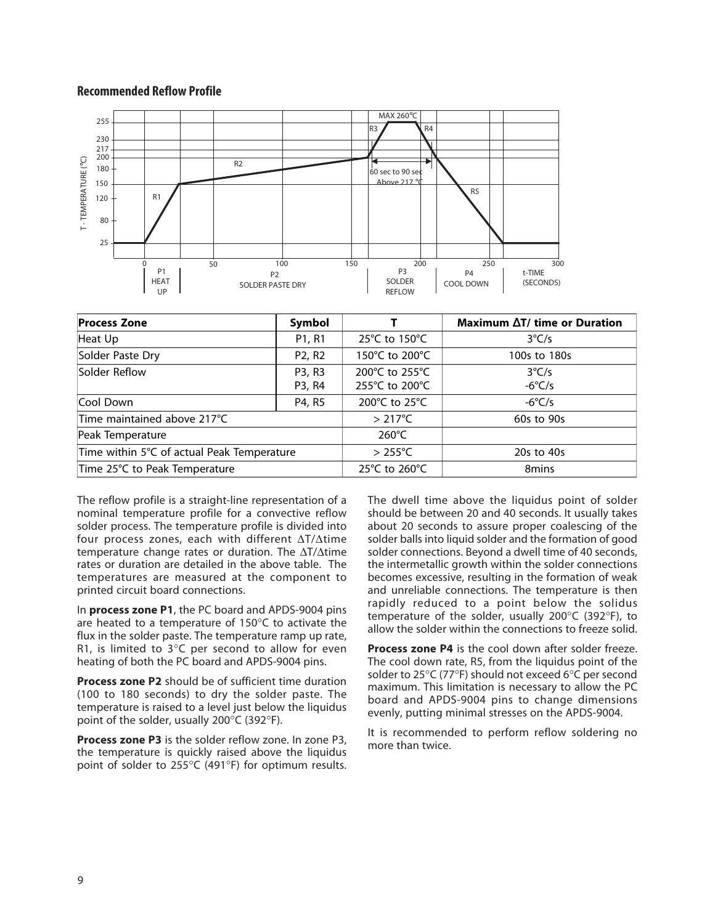#### **Recommended Reflow Profile**



| <b>Process Zone</b>                        | Symbol                          |                  | Maximum ∆T/ time or Duration |
|--------------------------------------------|---------------------------------|------------------|------------------------------|
| Heat Up                                    | P <sub>1</sub> , R <sub>1</sub> | 25°C to 150°C    | $3^{\circ}C/s$               |
| Solder Paste Dry                           | P <sub>2</sub> , R <sub>2</sub> | 150°C to 200°C   | 100s to 180s                 |
| Solder Reflow                              | P3, R3                          | 200°C to 255°C   | $3^{\circ}C/s$               |
|                                            | P3, R4                          | 255°C to 200°C   | $-6^{\circ}$ C/s             |
| Cool Down                                  | P4, R5                          | 200°C to 25°C    | $-6^{\circ}$ C/s             |
| Time maintained above 217°C                |                                 | $>217^{\circ}$ C | 60s to 90s                   |
| Peak Temperature                           |                                 | $260^{\circ}$ C  |                              |
| Time within 5°C of actual Peak Temperature |                                 | $>255^{\circ}$ C | 20s to 40s                   |
| Time 25°C to Peak Temperature              |                                 | 25°C to 260°C    | 8 <sub>mins</sub>            |

The reflow profile is a straight-line representation of a nominal temperature profile for a convective reflow solder process. The temperature profile is divided into four process zones, each with different ∆T/∆time temperature change rates or duration. The ∆T/∆time rates or duration are detailed in the above table. The temperatures are measured at the component to printed circuit board connections.

In **process zone P1**, the PC board and APDS-9004 pins are heated to a temperature of 150°C to activate the flux in the solder paste. The temperature ramp up rate, R1, is limited to  $3^{\circ}$ C per second to allow for even heating of both the PC board and APDS-9004 pins.

**Process zone P2** should be of sufficient time duration (100 to 180 seconds) to dry the solder paste. The temperature is raised to a level just below the liquidus point of the solder, usually 200°C (392°F).

**Process zone P3** is the solder reflow zone. In zone P3, the temperature is quickly raised above the liquidus point of solder to 255°C (491°F) for optimum results.

The dwell time above the liquidus point of solder should be between 20 and 40 seconds. It usually takes about 20 seconds to assure proper coalescing of the solder balls into liquid solder and the formation of good solder connections. Beyond a dwell time of 40 seconds, the intermetallic growth within the solder connections becomes excessive, resulting in the formation of weak and unreliable connections. The temperature is then rapidly reduced to a point below the solidus temperature of the solder, usually 200°C (392°F), to allow the solder within the connections to freeze solid.

**Process zone P4** is the cool down after solder freeze. The cool down rate, R5, from the liquidus point of the solder to 25°C (77°F) should not exceed 6°C per second maximum. This limitation is necessary to allow the PC board and APDS-9004 pins to change dimensions evenly, putting minimal stresses on the APDS-9004.

It is recommended to perform reflow soldering no more than twice.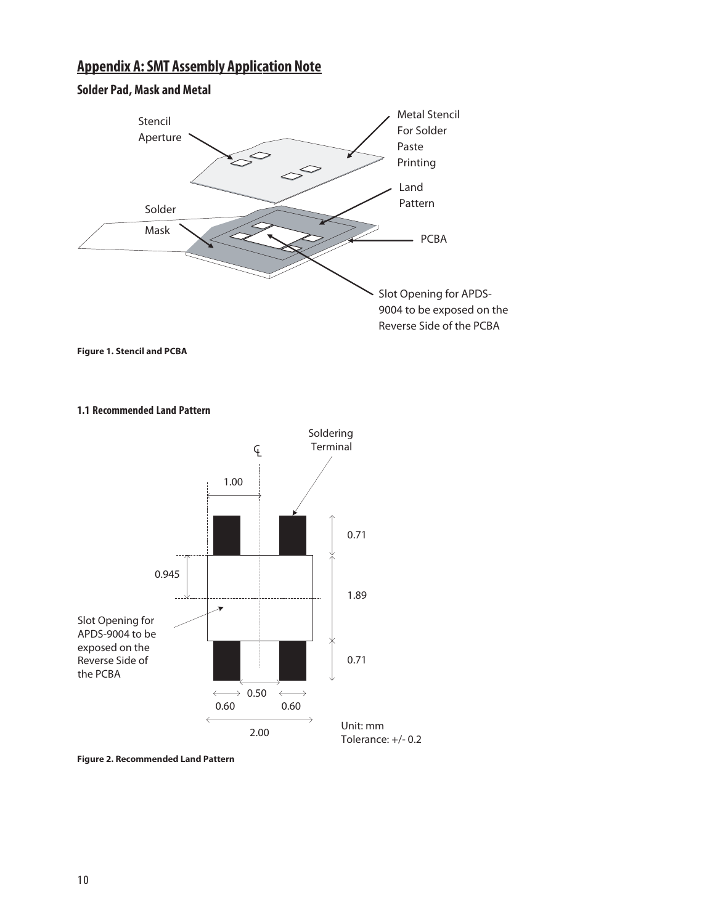# **Appendix A: SMT Assembly Application Note**



**Figure 1. Stencil and PCBA**

**1.1 Recommended Land Pattern**



**Figure 2. Recommended Land Pattern**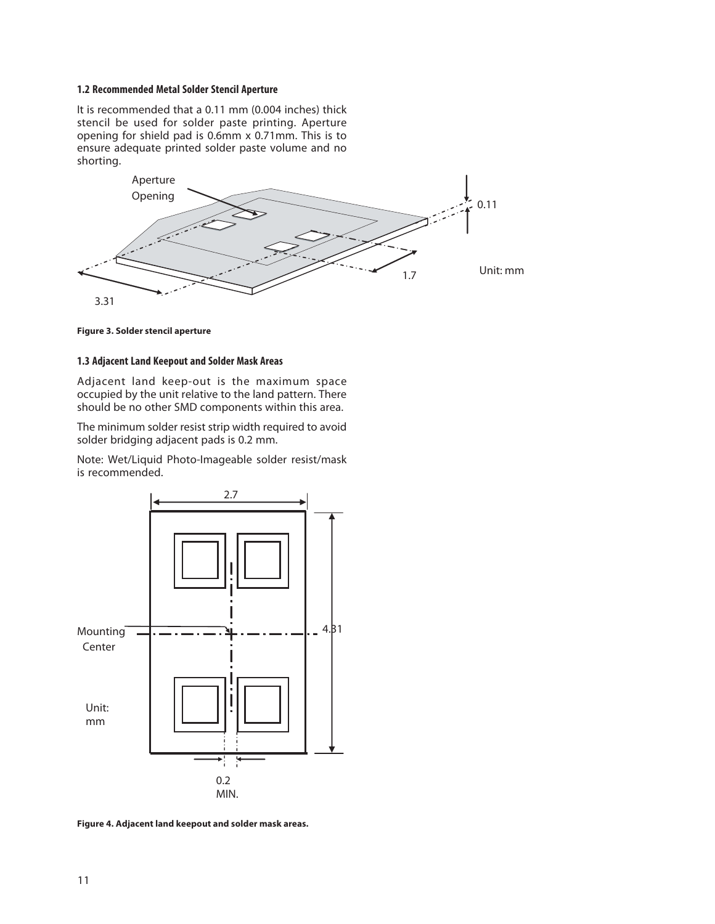#### **1.2 Recommended Metal Solder Stencil Aperture**

It is recommended that a 0.11 mm (0.004 inches) thick stencil be used for solder paste printing. Aperture opening for shield pad is 0.6mm x 0.71mm. This is to ensure adequate printed solder paste volume and no shorting.





#### **1.3 Adjacent Land Keepout and Solder Mask Areas**

Adjacent land keep-out is the maximum space occupied by the unit relative to the land pattern. There should be no other SMD components within this area.

The minimum solder resist strip width required to avoid solder bridging adjacent pads is 0.2 mm.

Note: Wet/Liquid Photo-Imageable solder resist/mask is recommended.



**Figure 4. Adjacent land keepout and solder mask areas.**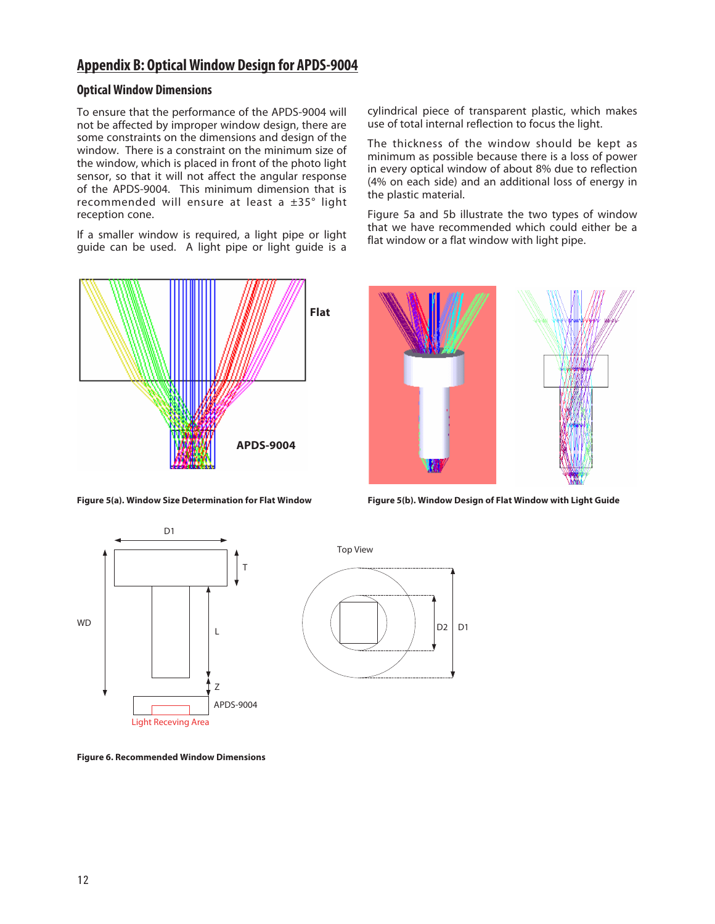# **Appendix B: Optical Window Design for APDS-9004**

# **Optical Window Dimensions**

To ensure that the performance of the APDS-9004 will not be affected by improper window design, there are some constraints on the dimensions and design of the window. There is a constraint on the minimum size of the window, which is placed in front of the photo light sensor, so that it will not affect the angular response of the APDS-9004. This minimum dimension that is recommended will ensure at least a ±35° light reception cone.

If a smaller window is required, a light pipe or light guide can be used. A light pipe or light guide is a



cylindrical piece of transparent plastic, which makes use of total internal reflection to focus the light.

The thickness of the window should be kept as minimum as possible because there is a loss of power in every optical window of about 8% due to reflection (4% on each side) and an additional loss of energy in the plastic material.

Figure 5a and 5b illustrate the two types of window that we have recommended which could either be a flat window or a flat window with light pipe.



**Figure 5(a). Window Size Determination for Flat Window Figure 5(b). Window Design of Flat Window with Light Guide**





**Figure 6. Recommended Window Dimensions**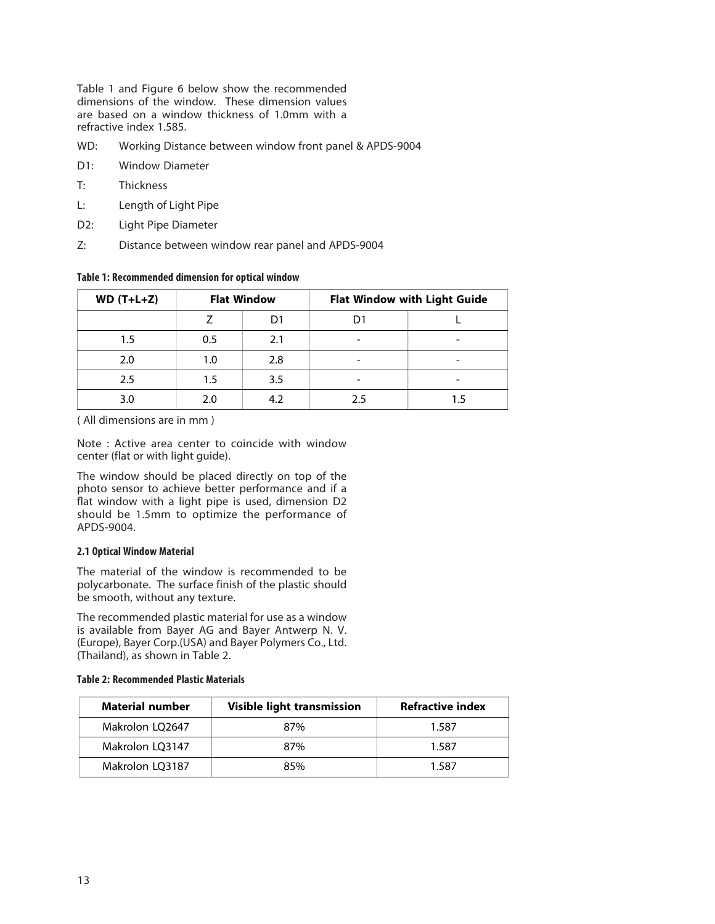Table 1 and Figure 6 below show the recommended dimensions of the window. These dimension values are based on a window thickness of 1.0mm with a refractive index 1.585.

- WD: Working Distance between window front panel & APDS-9004
- D1: Window Diameter
- T: Thickness
- L: Length of Light Pipe
- D2: Light Pipe Diameter
- Z: Distance between window rear panel and APDS-9004

#### **Table 1: Recommended dimension for optical window**

| $WD(T+L+Z)$ | <b>Flat Window</b> |     |    | Flat Window with Light Guide |
|-------------|--------------------|-----|----|------------------------------|
|             |                    | D1  |    |                              |
| 1.5         | 0.5                | 2.1 |    |                              |
| 2.0         |                    | 2.8 |    |                              |
| 2.5         | 1.5                | 3.5 |    |                              |
| 3.0         |                    | 4.2 | 25 |                              |

( All dimensions are in mm )

Note : Active area center to coincide with window center (flat or with light guide).

The window should be placed directly on top of the photo sensor to achieve better performance and if a flat window with a light pipe is used, dimension D2 should be 1.5mm to optimize the performance of APDS-9004.

#### **2.1 Optical Window Material**

The material of the window is recommended to be polycarbonate. The surface finish of the plastic should be smooth, without any texture.

The recommended plastic material for use as a window is available from Bayer AG and Bayer Antwerp N. V. (Europe), Bayer Corp.(USA) and Bayer Polymers Co., Ltd. (Thailand), as shown in Table 2.

#### **Table 2: Recommended Plastic Materials**

| <b>Material number</b> | Visible light transmission | <b>Refractive index</b> |
|------------------------|----------------------------|-------------------------|
| Makrolon LQ2647        | 87%                        | 1.587                   |
| Makrolon LQ3147        | 87%                        | 1.587                   |
| Makrolon LQ3187        | 85%                        | 1.587                   |